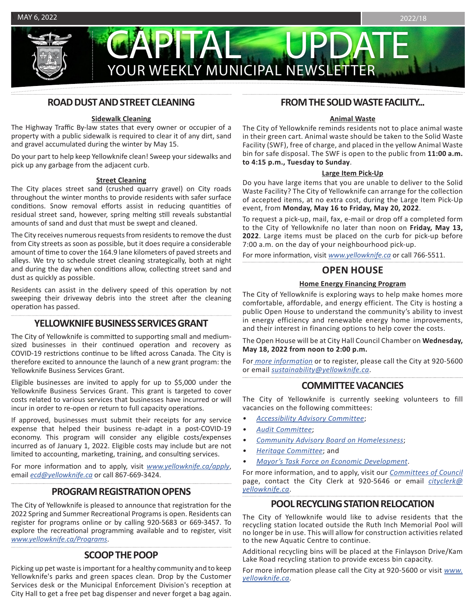

# CAPITAL UPDATE YOUR WEEKLY MUNICIPAL NEWSLETTER

# **ROAD DUST AND STREET CLEANING**

## **Sidewalk Cleaning**

The Highway Traffic By-law states that every owner or occupier of a property with a public sidewalk is required to clear it of any dirt, sand and gravel accumulated during the winter by May 15.

Do your part to help keep Yellowknife clean! Sweep your sidewalks and pick up any garbage from the adjacent curb.

### **Street Cleaning**

The City places street sand (crushed quarry gravel) on City roads throughout the winter months to provide residents with safer surface conditions. Snow removal efforts assist in reducing quantities of residual street sand, however, spring melting still reveals substantial amounts of sand and dust that must be swept and cleaned.

The City receives numerous requests from residents to remove the dust from City streets as soon as possible, but it does require a considerable amount of time to cover the 164.9 lane kilometers of paved streets and alleys. We try to schedule street cleaning strategically, both at night and during the day when conditions allow, collecting street sand and dust as quickly as possible.

Residents can assist in the delivery speed of this operation by not sweeping their driveway debris into the street after the cleaning operation has passed.

# **YELLOWKNIFE BUSINESS SERVICES GRANT**

The City of Yellowknife is committed to supporting small and mediumsized businesses in their continued operation and recovery as COVID-19 restrictions continue to be lifted across Canada. The City is therefore excited to announce the launch of a new grant program: the Yellowknife Business Services Grant.

Eligible businesses are invited to apply for up to \$5,000 under the Yellowknife Business Services Grant. This grant is targeted to cover costs related to various services that businesses have incurred or will incur in order to re-open or return to full capacity operations.

If approved, businesses must submit their receipts for any service expense that helped their business re-adapt in a post-COVID-19 economy. This program will consider any eligible costs/expenses incurred as of January 1, 2022. Eligible costs may include but are not limited to accounting, marketing, training, and consulting services.

For more information and to apply, visit *[www.yellowknife.ca/apply](http://www.yellowknife.ca/apply)*, email *[ecd@yellowknife.ca](mailto:ecd%40yellowknife.ca?subject=)* or call 867-669-3424.

# **PROGRAM REGISTRATION OPENS**

The City of Yellowknife is pleased to announce that registration for the 2022 Spring and Summer Recreational Programs is open. Residents can register for programs online or by calling 920-5683 or 669-3457. To explore the recreational programming available and to register, visit *www.yellowknife.ca/Programs*.

# **SCOOP THE POOP**

Picking up pet waste is important for a healthy community and to keep Yellowknife's parks and green spaces clean. Drop by the Customer Services desk or the Municipal Enforcement Division's reception at City Hall to get a free pet bag dispenser and never forget a bag again.

# **FROM THE SOLID WASTE FACILITY...**

#### **Animal Waste**

The City of Yellowknife reminds residents not to place animal waste in their green cart. Animal waste should be taken to the Solid Waste Facility (SWF), free of charge, and placed in the yellow Animal Waste bin for safe disposal. The SWF is open to the public from **11:00 a.m. to 4:15 p.m., Tuesday to Sunday**.

#### **Large Item Pick-Up**

Do you have large items that you are unable to deliver to the Solid Waste Facility? The City of Yellowknife can arrange for the collection of accepted items, at no extra cost, during the Large Item Pick-Up event, from **Monday, May 16 to Friday, May 20, 2022**.

To request a pick-up, mail, fax, e-mail or drop off a completed form to the City of Yellowknife no later than noon on **Friday, May 13, 2022**. Large items must be placed on the curb for pick-up before 7:00 a.m. on the day of your neighbourhood pick-up.

For more information, visit *[www.yellowknife.ca](http://www.yellowknife.ca)* or call 766-5511.

# **OPEN HOUSE**

## **Home Energy Financing Program**

The City of Yellowknife is exploring ways to help make homes more comfortable, affordable, and energy efficient. The City is hosting a public Open House to understand the community's ability to invest in energy efficiency and renewable energy home improvements, and their interest in financing options to help cover the costs.

The Open House will be at City Hall Council Chamber on **Wednesday, May 18, 2022 from noon to 2:00 p.m.** 

For *[more information](https://www.placespeak.com/en/topic/6651-home-energy-financing-program-design/#/overview)* or to register, please call the City at 920-5600 or email *[sustainability@yellowknife.ca](mailto:sustainability%40yellowknife.ca?subject=)*.

# **COMMITTEE VACANCIES**

The City of Yellowknife is currently seeking volunteers to fill vacancies on the following committees:

- *• [Accessibility Advisory Committee](https://www.yellowknife.ca/en/city-government/committees-of-council.aspx#Accessibility-Advisory-Committee)*;
- *• [Audit Committee](https://www.yellowknife.ca/en/city-government/committees-of-council.aspx#Audit-Committee)*;
- *• [Community Advisory Board on Homelessness](https://www.yellowknife.ca/en/city-government/committees-of-council.aspx#Community-Advisory-Board-on-Homelessness)*;
- *• [Heritage Committee](https://www.yellowknife.ca/en/city-government/committees-of-council.aspx#Heritage-Committee)*; and
- *• [Mayor's Task Force on Economic Development](https://www.yellowknife.ca/en/city-government/committees-of-council.aspx#Mayors-Task-Force-on-Economic-Development)*.

For more information, and to apply, visit our *[Committees of Council](https://www.yellowknife.ca/en/city-government/committees-of-council.aspx)* page, contact the City Clerk at 920-5646 or email *[cityclerk@](mailto:cityclerk%40yellowknife.ca?subject=) [yellowknife.ca](mailto:cityclerk%40yellowknife.ca?subject=)*.

# **POOL RECYCLING STATION RELOCATION**

The City of Yellowknife would like to advise residents that the recycling station located outside the Ruth Inch Memorial Pool will no longer be in use. This will allow for construction activities related to the new Aquatic Centre to continue.

Additional recycling bins will be placed at the Finlayson Drive/Kam Lake Road recycling station to provide excess bin capacity.

For more information please call the City at 920-5600 or visit *[www.](http://www.yellowknife.ca) [yellowknife.ca](http://www.yellowknife.ca)*.